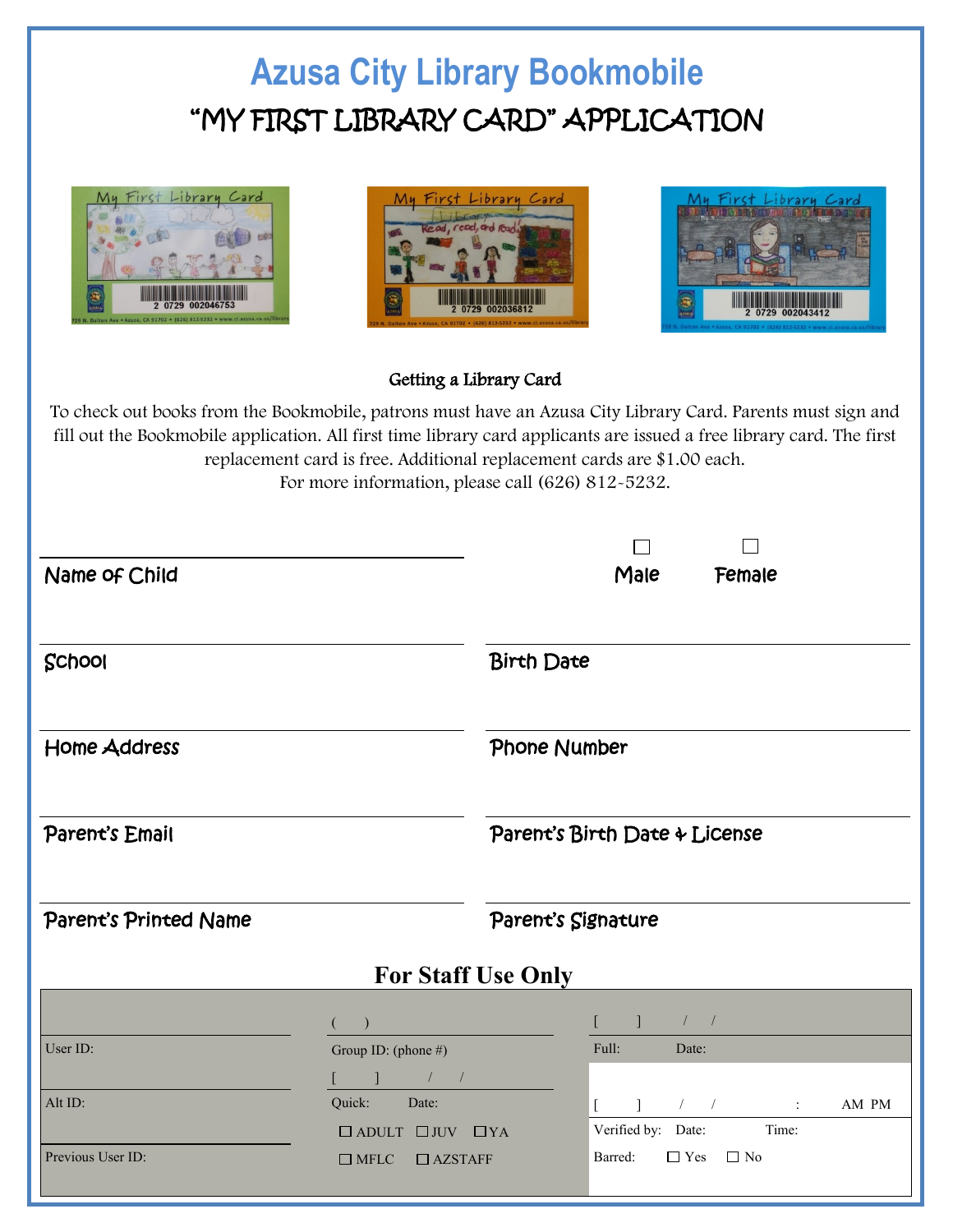## **Azusa City Library Bookmobile**  "MY FIRST LIBRARY CARD" APPLICATION







## Getting a Library Card

To check out books from the Bookmobile, patrons must have an Azusa City Library Card. Parents must sign and fill out the Bookmobile application. All first time library card applicants are issued a free library card. The first replacement card is free. Additional replacement cards are \$1.00 each. For more information, please call (626) 812-5232.

| Name of Child         |                                                                                 |                               | Male                                              | Female                                                                                                                                                                                                                                                                                                              |       |  |
|-----------------------|---------------------------------------------------------------------------------|-------------------------------|---------------------------------------------------|---------------------------------------------------------------------------------------------------------------------------------------------------------------------------------------------------------------------------------------------------------------------------------------------------------------------|-------|--|
| School                |                                                                                 | <b>Birth Date</b>             |                                                   |                                                                                                                                                                                                                                                                                                                     |       |  |
| <b>Home Address</b>   |                                                                                 | Phone Number                  |                                                   |                                                                                                                                                                                                                                                                                                                     |       |  |
| Parent's Email        |                                                                                 | Parent's Birth Date & License |                                                   |                                                                                                                                                                                                                                                                                                                     |       |  |
| Parent's Printed Name |                                                                                 | Parent's Signature            |                                                   |                                                                                                                                                                                                                                                                                                                     |       |  |
|                       | <b>For Staff Use Only</b>                                                       |                               |                                                   |                                                                                                                                                                                                                                                                                                                     |       |  |
| User ID:              | $\big)$<br>Group ID: (phone #)                                                  |                               | $\blacksquare$<br>$\frac{1}{2}$<br>Full:<br>Date: |                                                                                                                                                                                                                                                                                                                     |       |  |
|                       | $\begin{array}{ccc} \hline \end{array}$ $\begin{array}{ccc} \hline \end{array}$ |                               |                                                   |                                                                                                                                                                                                                                                                                                                     |       |  |
| Alt ID:               | Quick:<br>Date:                                                                 |                               | $\mathbf{1}$                                      | $\frac{1}{2}$ $\frac{1}{2}$ $\frac{1}{2}$ $\frac{1}{2}$ $\frac{1}{2}$ $\frac{1}{2}$ $\frac{1}{2}$ $\frac{1}{2}$ $\frac{1}{2}$ $\frac{1}{2}$ $\frac{1}{2}$ $\frac{1}{2}$ $\frac{1}{2}$ $\frac{1}{2}$ $\frac{1}{2}$ $\frac{1}{2}$ $\frac{1}{2}$ $\frac{1}{2}$ $\frac{1}{2}$ $\frac{1}{2}$ $\frac{1}{2}$ $\frac{1}{2}$ | AM PM |  |
| Previous User ID:     | $\Box$ ADULT $\Box$ JUV $\Box$ YA<br>$\Box$ AZSTAFF<br>$\Box$ MFLC              |                               | Verified by: Date:<br>Barred:                     | Time:<br>$\Box$ Yes $\Box$ No                                                                                                                                                                                                                                                                                       |       |  |